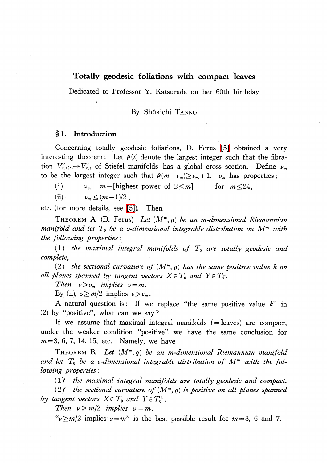# Totally geodesic foliations with compact leaves

Dedicated to Professor Y. Katsurada on her 60th birthday

By Shûkichi TANNO

## \S 1. Introduction

Concerning totally geodesic foliations, D. Ferus [\[5\]](#page-3-0) obtained a very interesting theorem: Let  $\rho(t)$  denote the largest integer such that the fibration  $V'_{t,\rho(t)} \rightarrow V'_{t,1}$  of Stiefel manifolds has a global cross section. Define  $\nu_{m}$ to be the largest integer such that  $\rho(m-\nu_{m})\geq\nu_{m}+1$ .  $\nu_{m}$  has properties;

(i)  $\nu_{m} = m -$  [highest power of  $2\leq m$ ] for  $m\leq 24$ ,

(ii)  $\nu_{m} \leq (m-1)/2$ 

etc. (for more details, see [\[5\]\)](#page-3-0). Then

THEOREM A (D. Ferus) Let  $(M^{m}, g)$  be an m-dimensional Riemannian manifold and let  $T_{0}$  be a  $\nu$ -dimensional integrable distribution on  $M^{m}$  with the following properties :

(1) the maximal integral manifolds of  $T_{0}$  are totally geodesic and complete,

(2) the sectional curvature of  $(M^{m}, g)$  has the same positive value k on all planes spanned by tangent vectors  $X\!\in T_{\tt 0}$  and  $Y\!\in T_{\tt 0}^{\tt L}$  ,

Then  $\nu>\nu_{m}$  implies  $\nu=m$ .

By (ii),  $\nu \geq m/2$  implies  $\nu > \nu_{m}$ .

A natural question is: If we replace "the same positive value  $k$ " in (2) by "positive", what can we say ?

If we assume that maximal integral manifolds  $(=leaves)$  are compact, under the weaker condition "positive" we have the same conclusion for  $m=3, 6, 7, 14, 15, etc.$  Namely, we have

THEOREM B. Let  $(M^{m}, g)$  be an m-dimensional Riemannian manifold and let  $T_{0}$  be a v-dimensional integrable distribution of  $M^{m}$  with the following properties :

 $(1)'$  the maximal integral manifolds are totally geodesic and compact,

(2)' the sectional curvature of  $(M^{m}, g)$  is positive on all planes spanned by tangent vectors  $X\in T_{0}$  and  $Y\in T_{0}^{\perp}$ .

Then  $\nu\geq m/2$  implies  $\nu=m$ .

" $\nu \geq m/2$  implies  $\nu=m$ " is the best possible result for  $m=3,6$  and 7.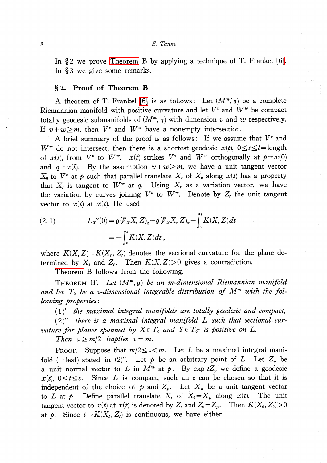In  $\S$  2 we prove [Theorem](#page-1-0) B by applying a technique of T. Frankel [\[6\].](#page-3-1) In \$3 we give some remarks.

## \S 2. Proof of Theorem B

A theorem of T. Frankel [\[6\]](#page-3-1) is as follows: Let  $(M^{m^*},g)$  be a complete Riemannian manifold with positive curvature and let  $V^{v}$  and  $W^{w}$  be compact totally geodesic submanifolds of  $(M^{m}, g)$  with dimension v and w respectively. If  $v+w\geq m$ , then  $V^{v}$  and  $W^{w}$  have a nonempty intersection.

A brief summary of the proof is as follows: If we assume that  $V^{v}$  and  $W^{w}$  do not intersect, then there is a shortest geodesic  $x(t)$ ,  $0 \leq t \leq l =$ length of  $x(t)$ , from  $V^{v}$  to  $W^{w}$ .  $x(t)$  strikes  $V^{v}$  and  $W^{w}$  orthogonally at  $p=x(0)$ and  $q=x(l)$ . By the assumption  $v+w\geq m$ , we have a unit tangent vector  $X_{0}$  to  $V^{v}$  at p such that parallel translate  $X_{t}$  of  $X_{0}$  along  $x(t)$  has a property that  $X_{l}$  is tangent to  $W^{w}$  at q. Using  $X_{t}$  as a variation vector, we have the variation by curves joining  $V^{v}$  to  $W^{w}$ . Denote by  $Z_{t}$  the unit tangent vector to  $x(t)$  at  $x(t)$ . He used

(2. 1) 
$$
L_{x}^{"}(0) = g(\mathbf{V}_{x}X, Z)_{q} - g(\mathbf{V}_{x}X, Z)_{p} - \int_{0}^{t} K(X, Z)dt
$$

$$
= -\int_{0}^{t} K(X, Z)dt,
$$

where  $K(X, Z) = K(X_{t}, Z_{t})$  denotes the sectional curvature for the plane determined by  $X_{t}$  and  $Z_{t}$ . Then  $K(X, Z) > 0$  gives a contradiction.

<span id="page-1-0"></span>[Theorem](#page-1-0) B follows from the following.

THEOREM B'. Let  $(M^{m}, g)$  be an m-dimensional Riemannian manifold and let  $T_{0}$  be a v-dimensional integrable distribution of  $M^{m}$  with the following properties :

 $(1)'$  the maximal integral manifolds are totally geodesic and compact,

 $(2)$ " there is a maximal integral manifold L such that sectional curvature for planes spanned by  $X\in T_{0}$  and  $Y\in T_{0}^{\perp}$  is positive on L.

Then  $\nu\geq m/2$  implies  $\nu=m$ .

PROOF. Suppose that  $m/2 \leq \nu < m$ . Let L be a maximal integral manifold (=leaf) stated in (2)''. Let p be an arbitrary point of L. Let  $Z_{p}$  be a unit normal vector to L in  $M^{m}$  at p. By exp  $tZ_{p}$  we define a geodesic  $x(t)$ ,  $0 \leq t \leq \varepsilon$ . Since L is compact, such an  $\varepsilon$  can be chosen so that it is independent of the choice of p and  $Z_{p}$ . Let  $X_{p}$  be a unit tangent vector to L at p. Define parallel translate  $X_{t}$  of  $X_{0}=X_{p}$  along  $x(t)$ . The unit tangent vector to  $x(t)$  at  $x(t)$  is denoted by  $Z_{t}$  and  $Z_{0}=Z_{p}$ . Then  $K(X_{0}, Z_{0})>0$ at p. Since  $t \rightarrow K(X_{t}, Z_{t})$  is continuous, we have either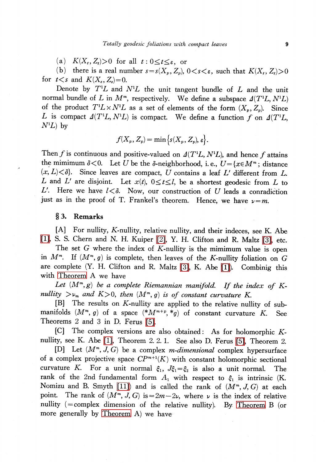$\text{(a)} \quad K(X_{t}, Z_{t})\text{>0 for all \ } t:0\text{\textless} t\text{\textless}\epsilon,\text{ or}$ 

(b) there is a real number  $s=s(X_{p}, Z_{p}), 0 < s < \varepsilon$ , such that  $K(X_{t}, Z_{t})>0$ for  $t < s$  and  $K(X_{s}, Z_{s})=0$ .

Denote by  $T^{1}L$  and  $N^{1}L$  the unit tangent bundle of  $L$  and the unit normal bundle of L in  $M^{m}$ , respectively. We define a subspace  $\Delta(T^{1}L, N^{1}L)$ of the product  $T^{1}L\times N^{1}L$  as a set of elements of the form  $(X_{p}, Z_{p})$ . Since L is compact  $\Delta(T^{1}L, N^{1}L)$  is compact. We define a function f on  $\Delta(T^{1}L, N^{1}L)$  by  $N^{1}L$ ) by

$$
f(X_p, Z_p) = \min\big\{s(X_p, Z_p), \varepsilon\big\}.
$$

Then f is continuous and positive-valued on  $\Delta(T^{1}L, N^{1}L)$ , and hence f<br>the mimimum  $\delta$ <0. Let U be the  $\delta$ -neighborhood i.e.  $U = \{r \in M^{m} : \delta \}$ attains the mimimum  $\delta$ <0. Let U be the  $\delta$ -neighborhood, i.e.,  $U{=}\{x{\in}M^m;$  distance  $(x, L) < \delta$ . Since leaves are compact, U contains a leaf L' different from L. L and L' are disjoint. Let  $x(t)$ ,  $0 \leq t \leq l$ , be a shortest geodesic from L to L'. Here we have  $l<\delta$ . Now, our construction of U leads a conradiction just as in the proof of T. Frankel's theorem. Hence, we have  $\nu=m$ .

## \S 3. Remarks

[A] For nullity, K-nullity, relative nullity, and their indeces, see K. Abe [\[1\],](#page-3-2) S. S. Chern and N. H. Kuiper [\[2\],](#page-3-3) Y. H. Clifton and R. Maltz [\[3\],](#page-3-4) etc.

The set  $G$  where the index of  $K$ -nullity is the mimimum value is open in  $M^{m}$ . If  $(M^{m}, g)$  is complete, then leaves of the K-nullity foliation on G are complete (Y. H. Clifton and R. Maltz [\[3\],](#page-3-4) K. Abe [\[1\]\)](#page-3-2). Combinig this with [Theorem](#page-1-0) A we have

Let  $(M^{m},g)$  be a complete Riemannian manifold. If the index of Knullity  $>\nu_{m}$  and  $K>0$ , then  $(M^{m}, g)$  is of constant curvature K.

[B] The results on K-nullity are applied to the relative nullity of submanifolds  $(M^{m}, g)$  of a space  $(*M^{m+p}, *g)$  of constant curvature K. See Theorems 2 and 3 in D. Ferus [\[5\].](#page-3-0)

[C] The complex versions are also obtained: As for holomorphic Knullity, see K. Abe [\[1\],](#page-3-2) Theorem 2. 2. 1. See also D. Ferus [\[5\],](#page-3-0) Theorem 2.

[D] Let  $(M^{m}, J, G)$  be a complex m-dimensional complex hypersurface of a complex projective space  $\mathbb{CP}^{m+1}(K)$  with constant holomorphic sectional curvature K. For a unit normal  $\xi_{1}$ ,  $J\xi_{1}=\xi_{2}$  is also a unit normal. The rank of the 2nd fundamental form  $A_{1}$  with respect to  $\xi_{1}$  is intrinsic (K. Nomizu and B. Smyth [\[11\]](#page-4-0)) and is called the rank of  $(M^{m}, J, G)$  at each point. The rank of  $(M^{m}, J, G)$  is  $=2m-2\nu$ , where  $\nu$  is the index of relative nullity  $( = \text{complex dimension of the relative nullity}).$  By [Theorem](#page-1-0) B (or more generally by [Theorem](#page-1-0) A) we have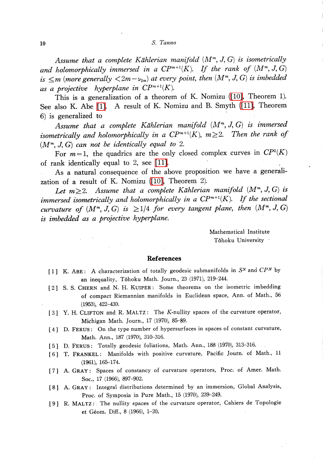## 10 S. Tanno

Assume that a complete Kählerian manifold  $(M^{m}, J, G)$  is isometrically and holomorphically immersed in a  $\mathbb{CP}^{m+1}(K)$ . If the rank of  $(M^{m}, J, G)$ is  $\leq m$  (more generally  $\langle 2m-\nu_{2m}\rangle$  at every point, then  $(M^{m}, J, G)$  is imbedded as a projective hyperplane in  $\mathbb{CP}^{m+1}(K)$ .

This is a generalization of a theorem of K. Nomizu [\(\[10\],](#page-4-1) Theorem 1). See also K. Abe [\[1\].](#page-3-2) A result of K. Nomizu and B. Smyth [\(\[11\],](#page-4-0) Theorem 6) is generalized to

Assume that a complete Kählerian manifold  $(M^{m}, J, G)$  is immersed isometrically and holomorphically in a  $\mathbb{CP}^{m+1}(K)$ ,  $m\geq 2$ . Then the rank of  $(M^{m}, J, G)$  can not be identically equal to 2.

For  $m=1$ , the quadrics are the only closed complex curves in  $\mathbb{C}P^{2}(K)$ of rank identically equal to 2, see [\[11\].](#page-4-0)

As a natural consequence of the above proposition we have a generalization of a result of K. Nomizu [\(\[10\],](#page-4-1) Theorem 2).

Let  $m\geq 2$ . Assume that a complete Kählerian manifold  $(M^{m}, J, G)$  is immersed isometrically and holomorphically in a  $\mathbb{CP}^{m+1}(K)$ . If the sectional curvature of  $(M^{m}, J, G)$  is  $\geq 1/4$  for every tangent plane, then  $(M^{m}, J, G)$ is imbedded as a projective hyperplane

> Mathematical Institute Tohoku University

#### References

- <span id="page-3-2"></span>[1] K. ABE: A characterization of totally geodesic submanifolds in  $S^{N}$  and  $CP^{N}$  by an inequality, Tôhoku Math. Journ., 23 (1971), 219-244.
- <span id="page-3-3"></span>[2] S. S. CHERN and N. H. KUIPER: Some theorems on the isometric imbedding of compact Riemannian manifolds in Euclidean space, Ann. of Math., 56 (1953), 422-430.
- <span id="page-3-4"></span>[3] Y. H. CLIFTON and R. MALTZ: The K-nullity spaces of the curvature operator, Michigan Math. Journ., 17 (1970), 85-89.
- [4] D. FERUS: On the type number of hypersurfaces in spaces of constant curvature, Math. Ann., 187 (1970), 310-316.
- <span id="page-3-0"></span>[5] D. FERUS: Totally geodesic foliations, Math. Ann., <sup>188</sup> (1970), 313-316.
- <span id="page-3-1"></span>[6] T. FRANKEL: Manifolds with positive curvature, Pacific Journ. of Math., <sup>11</sup> (1961), 165-174.
- [7] A. GRAY: Spaces of constancy of curvature operators, Proc. of Amer. Math. Soc., 17 (1966), 897-902.
- [8] A. GRAY: Integral distributions determined by an immersion, Global Analysis, Proc. of Symposia in Pure Math., 15 (1970), 239-249.
- [9] R. MALTZ: The nullity spaces of the curvature operator, Cahiers de Topologie et Géom. Diff., 8 (1966), 1-20.